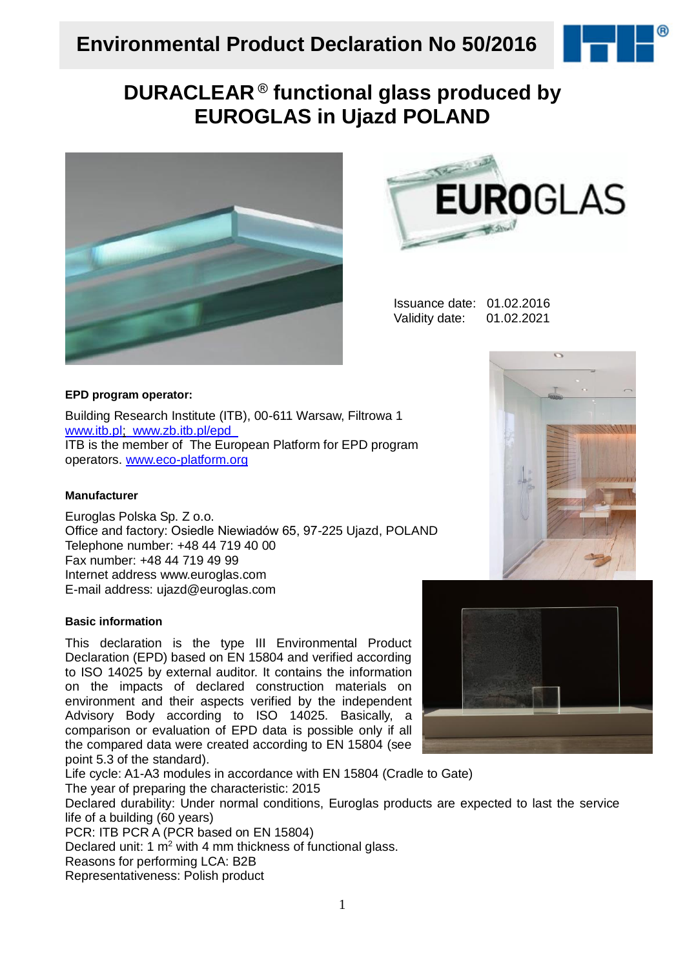

### **DURACLEAR** ® **functional glass produced by EUROGLAS in Ujazd POLAND**





Issuance date: 01.02.2016 Validity date: 01.02.2021



#### **EPD program operator:**

Building Research Institute (ITB), 00-611 Warsaw, Filtrowa 1 [www.itb.pl;](http://www.itb.pl/) www.zb.itb.pl/epd ITB is the member of The European Platform for EPD program operators. www.eco-platform.org

#### **Manufacturer**

Euroglas Polska Sp. Z o.o. Office and factory: Osiedle Niewiadów 65, 97-225 Ujazd, POLAND Telephone number: +48 44 719 40 00 Fax number: +48 44 719 49 99 Internet address www.euroglas.com E-mail address: ujazd@euroglas.com

#### **Basic information**

This declaration is the type III Environmental Product Declaration (EPD) based on EN 15804 and verified according to ISO 14025 by external auditor. It contains the information on the impacts of declared construction materials on environment and their aspects verified by the independent Advisory Body according to ISO 14025. Basically, a comparison or evaluation of EPD data is possible only if all the compared data were created according to EN 15804 (see point 5.3 of the standard).



Life cycle: A1-A3 modules in accordance with EN 15804 (Cradle to Gate) The year of preparing the characteristic: 2015 Declared durability: Under normal conditions, Euroglas products are expected to last the service

life of a building (60 years)

PCR: ITB PCR A (PCR based on EN 15804)

Declared unit: 1  $m<sup>2</sup>$  with 4 mm thickness of functional glass.

Reasons for performing LCA: B2B

Representativeness: Polish product

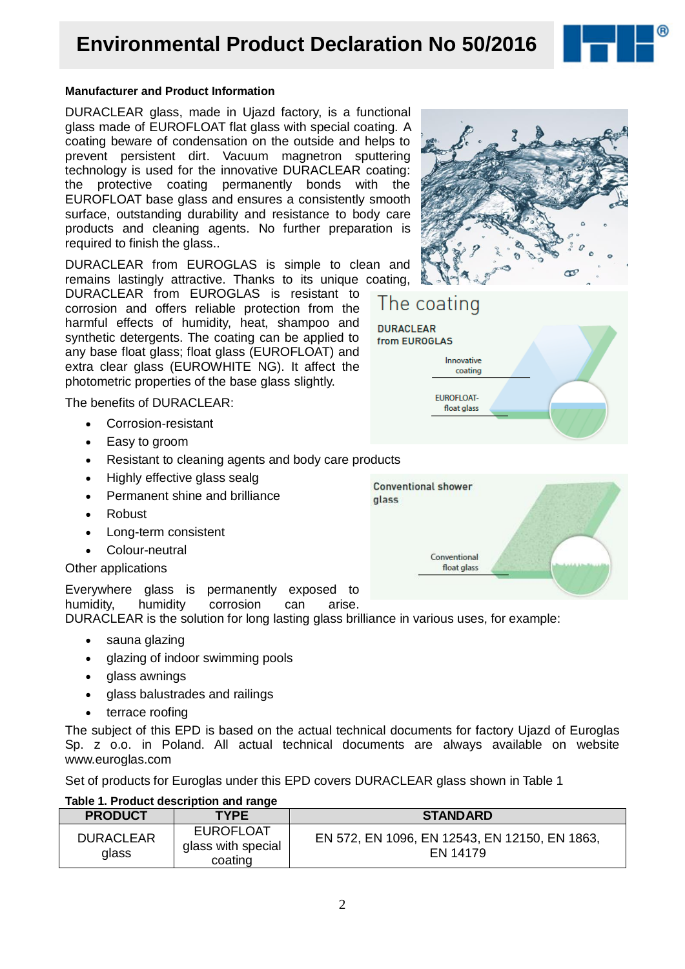### **Manufacturer and Product Information**

DURACLEAR glass, made in Ujazd factory, is a functional glass made of EUROFLOAT flat glass with special coating. A coating beware of condensation on the outside and helps to prevent persistent dirt. Vacuum magnetron sputtering technology is used for the innovative DURACLEAR coating: the protective coating permanently bonds with the EUROFLOAT base glass and ensures a consistently smooth surface, outstanding durability and resistance to body care products and cleaning agents. No further preparation is required to finish the glass..

DURACLEAR from EUROGLAS is simple to clean and remains lastingly attractive. Thanks to its unique coating,

DURACLEAR from EUROGLAS is resistant to corrosion and offers reliable protection from the harmful effects of humidity, heat, shampoo and synthetic detergents. The coating can be applied to any base float glass; float glass (EUROFLOAT) and extra clear glass (EUROWHITE NG). It affect the photometric properties of the base glass slightly.

The benefits of DURACLEAR:

- Corrosion-resistant
- Easy to groom
- Resistant to cleaning agents and body care products
- Highly effective glass sealg
- Permanent shine and brilliance
- Robust
- Long-term consistent
- Colour-neutral

Other applications

Everywhere glass is permanently exposed to humidity, humidity corrosion can arise.

DURACLEAR is the solution for long lasting glass brilliance in various uses, for example:

- sauna glazing
- glazing of indoor swimming pools
- glass awnings
- glass balustrades and railings
- terrace roofing

The subject of this EPD is based on the actual technical documents for factory Ujazd of Euroglas Sp. z o.o. in Poland. All actual technical documents are always available on website www.euroglas.com

Set of products for Euroglas under this EPD covers DURACLEAR glass shown in Table 1

| Table 1. Product description and range |                                                   |                                                           |  |  |  |  |  |
|----------------------------------------|---------------------------------------------------|-----------------------------------------------------------|--|--|--|--|--|
| <b>PRODUCT</b>                         | <b>TYPE</b>                                       | <b>STANDARD</b>                                           |  |  |  |  |  |
| <b>DURACLEAR</b><br>glass              | <b>EUROFLOAT</b><br>glass with special<br>coating | EN 572, EN 1096, EN 12543, EN 12150, EN 1863,<br>EN 14179 |  |  |  |  |  |

# **Conventional shower** glass Conventional float glass





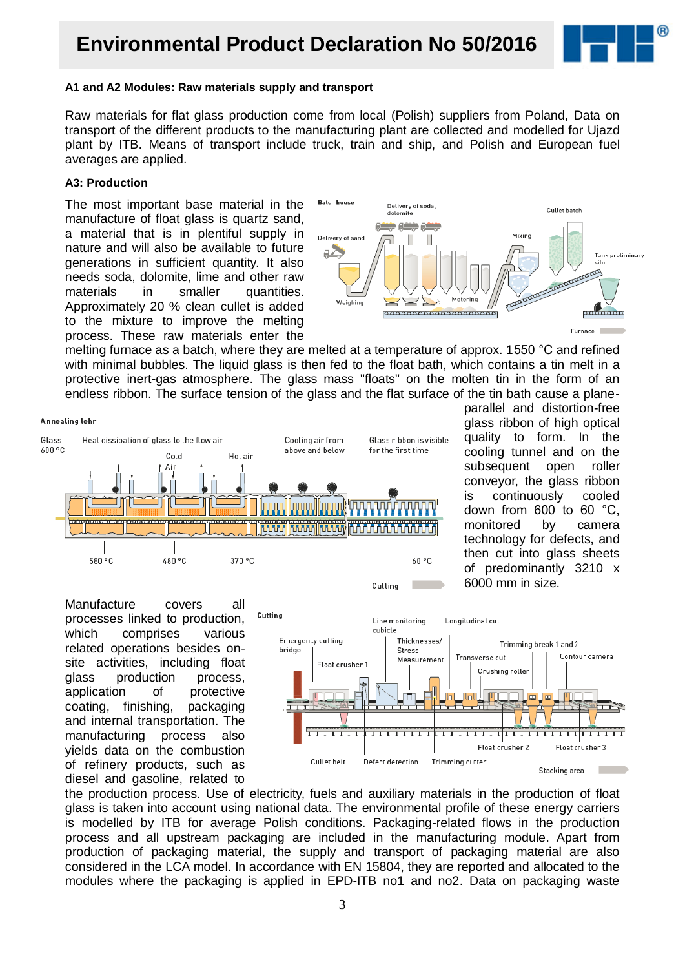

#### **A1 and A2 Modules: Raw materials supply and transport**

Raw materials for flat glass production come from local (Polish) suppliers from Poland, Data on transport of the different products to the manufacturing plant are collected and modelled for Ujazd plant by ITB. Means of transport include truck, train and ship, and Polish and European fuel averages are applied.

#### **A3: Production**

The most important base material in the manufacture of float glass is quartz sand, a material that is in plentiful supply in nature and will also be available to future generations in sufficient quantity. It also needs soda, dolomite, lime and other raw materials in smaller quantities. Approximately 20 % clean cullet is added to the mixture to improve the melting process. These raw materials enter the



melting furnace as a batch, where they are melted at a temperature of approx. 1550 °C and refined with minimal bubbles. The liquid glass is then fed to the float bath, which contains a tin melt in a protective inert-gas atmosphere. The glass mass "floats" on the molten tin in the form of an endless ribbon. The surface tension of the glass and the flat surface of the tin bath cause a plane-



parallel and distortion-free glass ribbon of high optical quality to form. In the cooling tunnel and on the subsequent open roller conveyor, the glass ribbon is continuously cooled down from 600 to 60 °C, monitored by camera technology for defects, and then cut into glass sheets of predominantly 3210 x 6000 mm in size.

Manufacture covers all processes linked to production, which comprises various related operations besides onsite activities, including float glass production process, application of protective coating, finishing, packaging and internal transportation. The manufacturing process also yields data on the combustion of refinery products, such as diesel and gasoline, related to



the production process. Use of electricity, fuels and auxiliary materials in the production of float glass is taken into account using national data. The environmental profile of these energy carriers is modelled by ITB for average Polish conditions. Packaging-related flows in the production process and all upstream packaging are included in the manufacturing module. Apart from production of packaging material, the supply and transport of packaging material are also considered in the LCA model. In accordance with EN 15804, they are reported and allocated to the modules where the packaging is applied in EPD-ITB no1 and no2. Data on packaging waste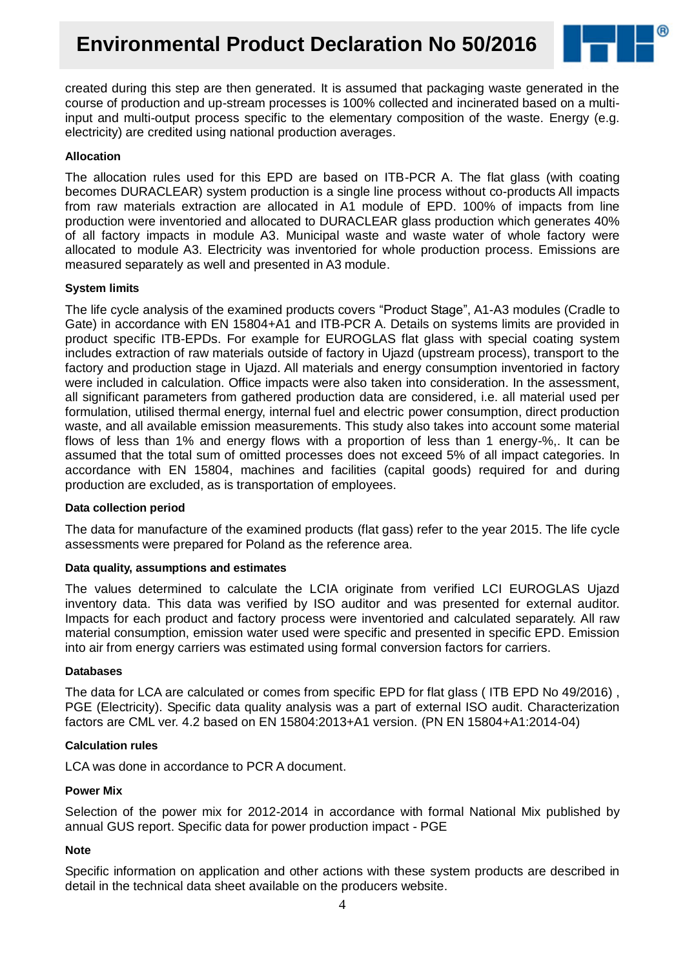

created during this step are then generated. It is assumed that packaging waste generated in the course of production and up-stream processes is 100% collected and incinerated based on a multiinput and multi-output process specific to the elementary composition of the waste. Energy (e.g. electricity) are credited using national production averages.

#### **Allocation**

The allocation rules used for this EPD are based on ITB-PCR A. The flat glass (with coating becomes DURACLEAR) system production is a single line process without co-products All impacts from raw materials extraction are allocated in A1 module of EPD. 100% of impacts from line production were inventoried and allocated to DURACLEAR glass production which generates 40% of all factory impacts in module A3. Municipal waste and waste water of whole factory were allocated to module A3. Electricity was inventoried for whole production process. Emissions are measured separately as well and presented in A3 module.

#### **System limits**

The life cycle analysis of the examined products covers "Product Stage", A1-A3 modules (Cradle to Gate) in accordance with EN 15804+A1 and ITB-PCR A. Details on systems limits are provided in product specific ITB-EPDs. For example for EUROGLAS flat glass with special coating system includes extraction of raw materials outside of factory in Ujazd (upstream process), transport to the factory and production stage in Ujazd. All materials and energy consumption inventoried in factory were included in calculation. Office impacts were also taken into consideration. In the assessment, all significant parameters from gathered production data are considered, i.e. all material used per formulation, utilised thermal energy, internal fuel and electric power consumption, direct production waste, and all available emission measurements. This study also takes into account some material flows of less than 1% and energy flows with a proportion of less than 1 energy-%,. It can be assumed that the total sum of omitted processes does not exceed 5% of all impact categories. In accordance with EN 15804, machines and facilities (capital goods) required for and during production are excluded, as is transportation of employees.

#### **Data collection period**

The data for manufacture of the examined products (flat gass) refer to the year 2015. The life cycle assessments were prepared for Poland as the reference area.

#### **Data quality, assumptions and estimates**

The values determined to calculate the LCIA originate from verified LCI EUROGLAS Ujazd inventory data. This data was verified by ISO auditor and was presented for external auditor. Impacts for each product and factory process were inventoried and calculated separately. All raw material consumption, emission water used were specific and presented in specific EPD. Emission into air from energy carriers was estimated using formal conversion factors for carriers.

#### **Databases**

The data for LCA are calculated or comes from specific EPD for flat glass ( ITB EPD No 49/2016) , PGE (Electricity). Specific data quality analysis was a part of external ISO audit. Characterization factors are CML ver. 4.2 based on EN 15804:2013+A1 version. (PN EN 15804+A1:2014-04)

#### **Calculation rules**

LCA was done in accordance to PCR A document.

#### **Power Mix**

Selection of the power mix for 2012-2014 in accordance with formal National Mix published by annual GUS report. Specific data for power production impact - PGE

#### **Note**

Specific information on application and other actions with these system products are described in detail in the technical data sheet available on the producers website.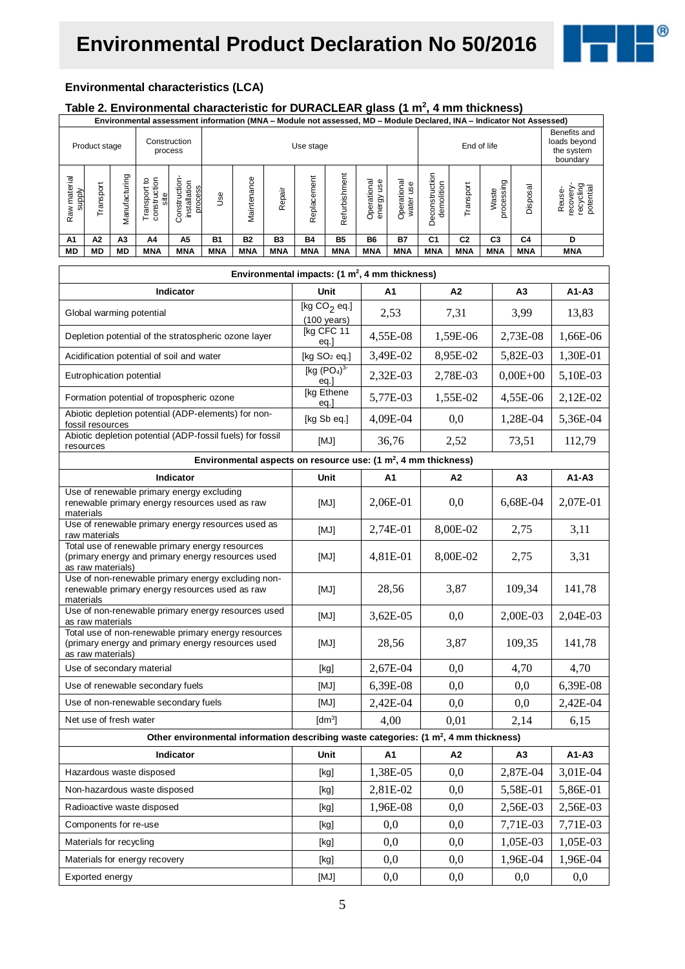

### **Environmental characteristics (LCA)**

 $\Gamma$ 

**Table 2. Environmental characteristic for DURACLEAR glass (1 m<sup>2</sup> , 4 mm thickness)**

| Environmental assessment information (MNA – Module not assessed, MD – Module Declared, INA – Indicator Not Assessed) |                  |                |                                        |                                         |            |             |            |             |               |                              |                           |                                  |                                                        |                     |            |                                                   |
|----------------------------------------------------------------------------------------------------------------------|------------------|----------------|----------------------------------------|-----------------------------------------|------------|-------------|------------|-------------|---------------|------------------------------|---------------------------|----------------------------------|--------------------------------------------------------|---------------------|------------|---------------------------------------------------|
|                                                                                                                      | Product stage    |                | Construction                           | process                                 | Use stage  |             |            |             | End of life   |                              |                           |                                  | Benefits and<br>loads beyond<br>the system<br>boundary |                     |            |                                                   |
| Raw material<br><b>Nddns</b>                                                                                         | <b>Iransport</b> | Vlanufacturing | construction<br>₽<br>Transport<br>site | Construction<br>installation<br>process | وول        | Maintenance | Repair     | Replacement | Refurbishment | Operational<br>9su<br>energy | Operational<br>Φ<br>water | ction<br>demolition<br>Deconstru | Transport                                              | processing<br>Waste | Disposal   | recycling<br>potential<br>ecover)<br><b>Reuse</b> |
| A1                                                                                                                   | A <sub>2</sub>   | A <sub>3</sub> | A4                                     | А5                                      | <b>B1</b>  | <b>B2</b>   | <b>B3</b>  | <b>B4</b>   | <b>B5</b>     | <b>B6</b>                    | <b>B7</b>                 | C <sub>1</sub>                   | C <sub>2</sub>                                         | C <sub>3</sub>      | C4         | D                                                 |
| MD                                                                                                                   | MD               | MD             | <b>MNA</b>                             | <b>MNA</b>                              | <b>MNA</b> | <b>MNA</b>  | <b>MNA</b> | <b>MNA</b>  | <b>MNA</b>    | <b>MNA</b>                   | <b>MNA</b>                | <b>MNA</b>                       | <b>MNA</b>                                             | <b>MNA</b>          | <b>MNA</b> | <b>MNA</b>                                        |

| Environmental impacts: $(1 \text{ m}^2, 4 \text{ mm thickness})$                                                              |                                                                |          |                |                |           |  |  |  |
|-------------------------------------------------------------------------------------------------------------------------------|----------------------------------------------------------------|----------|----------------|----------------|-----------|--|--|--|
| Indicator                                                                                                                     | Unit<br>A1                                                     |          | A2             | А3             | A1-A3     |  |  |  |
| Global warming potential                                                                                                      | $\overline{[kg\ CO_{2}}$ eq.]<br>2,53<br>$(100 \text{ years})$ |          | 7,31           | 3,99           | 13,83     |  |  |  |
| Depletion potential of the stratospheric ozone layer                                                                          | [kg CFC 11<br>eq.]                                             | 4,55E-08 | 1,59E-06       | 2,73E-08       | 1,66E-06  |  |  |  |
| Acidification potential of soil and water                                                                                     | [kg SO <sub>2</sub> eq.]                                       | 3,49E-02 | 8,95E-02       | 5,82E-03       | 1,30E-01  |  |  |  |
| Eutrophication potential                                                                                                      | [kg $(PO4)3$ ]<br>eq.]                                         | 2,32E-03 | 2,78E-03       | $0,00E+00$     | 5,10E-03  |  |  |  |
| Formation potential of tropospheric ozone                                                                                     | [kg Ethene<br>eq.]                                             | 5,77E-03 | 1,55E-02       | 4,55E-06       | 2,12E-02  |  |  |  |
| Abiotic depletion potential (ADP-elements) for non-<br>fossil resources                                                       | [kg Sb eq.]                                                    | 4,09E-04 | 0,0            | 1,28E-04       | 5,36E-04  |  |  |  |
| Abiotic depletion potential (ADP-fossil fuels) for fossil<br>resources                                                        | [MJ]                                                           | 2,52     | 73,51          | 112,79         |           |  |  |  |
| Environmental aspects on resource use: $(1 \text{ m}^2, 4 \text{ mm thickness})$                                              |                                                                |          |                |                |           |  |  |  |
| Indicator                                                                                                                     | Unit                                                           | A1       | A2             | A <sub>3</sub> | $A1 - A3$ |  |  |  |
| Use of renewable primary energy excluding<br>renewable primary energy resources used as raw<br>materials                      | [MJ]                                                           | 2,06E-01 | 0,0            | 6,68E-04       | 2,07E-01  |  |  |  |
| Use of renewable primary energy resources used as<br>raw materials                                                            | [MJ]                                                           | 2,74E-01 | 8,00E-02       | 2,75           | 3,11      |  |  |  |
| Total use of renewable primary energy resources<br>(primary energy and primary energy resources used<br>as raw materials)     | [MJ]                                                           | 4,81E-01 | 8,00E-02       | 2,75           | 3,31      |  |  |  |
| Use of non-renewable primary energy excluding non-<br>renewable primary energy resources used as raw<br>materials             | [MJ]                                                           | 28,56    | 3,87           | 109,34         | 141,78    |  |  |  |
| Use of non-renewable primary energy resources used<br>as raw materials                                                        | [MJ]                                                           | 3,62E-05 | 0,0            | 2,00E-03       | 2,04E-03  |  |  |  |
| Total use of non-renewable primary energy resources<br>(primary energy and primary energy resources used<br>as raw materials) | [MJ]                                                           | 28,56    | 3,87           | 109,35         | 141,78    |  |  |  |
| Use of secondary material                                                                                                     | [kg]                                                           | 2,67E-04 | 0,0            | 4,70           | 4,70      |  |  |  |
| Use of renewable secondary fuels                                                                                              | [MJ]                                                           | 6,39E-08 | 0,0            | 0.0            | 6,39E-08  |  |  |  |
| Use of non-renewable secondary fuels                                                                                          | [MJ]                                                           | 2,42E-04 | 0,0            | 0,0            | 2,42E-04  |  |  |  |
| Net use of fresh water                                                                                                        | [dm <sup>3</sup> ]                                             | 4,00     | 0,01           | 2,14           | 6,15      |  |  |  |
| Other environmental information describing waste categories: (1 m <sup>2</sup> , 4 mm thickness)                              |                                                                |          |                |                |           |  |  |  |
| Indicator                                                                                                                     | Unit                                                           | A1       | A <sub>2</sub> | A3             | $A1 - A3$ |  |  |  |
| Hazardous waste disposed                                                                                                      | [kg]                                                           | 1,38E-05 | 0,0            | 2,87E-04       | 3,01E-04  |  |  |  |
| Non-hazardous waste disposed                                                                                                  | [kg]                                                           | 2,81E-02 | $_{0,0}$       | 5,58E-01       | 5,86E-01  |  |  |  |
| Radioactive waste disposed                                                                                                    | [kg]                                                           | 1,96E-08 | 0,0            | 2,56E-03       | 2,56E-03  |  |  |  |
| Components for re-use                                                                                                         | [kg]                                                           | 0,0      | 0,0            | 7,71E-03       | 7,71E-03  |  |  |  |
| Materials for recycling                                                                                                       | [kg]                                                           | 0,0      | 0,0            | 1,05E-03       | 1,05E-03  |  |  |  |
| Materials for energy recovery                                                                                                 | [kg]                                                           | 0,0      | 0,0            | 1,96E-04       | 1,96E-04  |  |  |  |
| Exported energy                                                                                                               | [MJ]                                                           | 0,0      | 0,0            | 0,0            | 0,0       |  |  |  |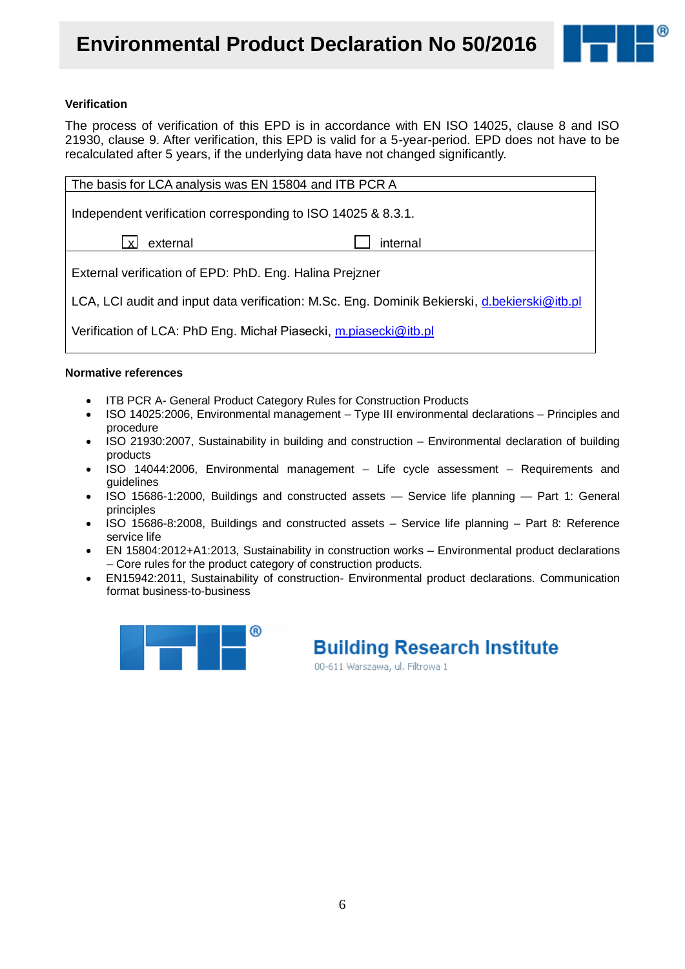

#### **Verification**

The process of verification of this EPD is in accordance with EN ISO 14025, clause 8 and ISO 21930, clause 9. After verification, this EPD is valid for a 5-year-period. EPD does not have to be recalculated after 5 years, if the underlying data have not changed significantly.

| The basis for LCA analysis was EN 15804 and ITB PCR A                                        |          |  |  |  |  |  |  |
|----------------------------------------------------------------------------------------------|----------|--|--|--|--|--|--|
| Independent verification corresponding to ISO 14025 & 8.3.1.                                 |          |  |  |  |  |  |  |
|                                                                                              |          |  |  |  |  |  |  |
| external<br>$\mathbf{x}$                                                                     | internal |  |  |  |  |  |  |
|                                                                                              |          |  |  |  |  |  |  |
| External verification of EPD: PhD. Eng. Halina Preizner                                      |          |  |  |  |  |  |  |
| LCA, LCI audit and input data verification: M.Sc. Eng. Dominik Bekierski, d.bekierski@itb.pl |          |  |  |  |  |  |  |
| Verification of LCA: PhD Eng. Michał Piasecki, m.piasecki@itb.pl                             |          |  |  |  |  |  |  |

#### **Normative references**

- ITB PCR A- General Product Category Rules for Construction Products
- ISO 14025:2006, Environmental management Type III environmental declarations Principles and procedure
- ISO 21930:2007, Sustainability in building and construction Environmental declaration of building products
- ISO 14044:2006, Environmental management Life cycle assessment Requirements and guidelines
- ISO 15686-1:2000, Buildings and constructed assets Service life planning Part 1: General principles
- ISO 15686-8:2008, Buildings and constructed assets Service life planning Part 8: Reference service life
- EN 15804:2012+A1:2013, Sustainability in construction works Environmental product declarations – Core rules for the product category of construction products.
- EN15942:2011, Sustainability of construction- Environmental product declarations. Communication format business-to-business